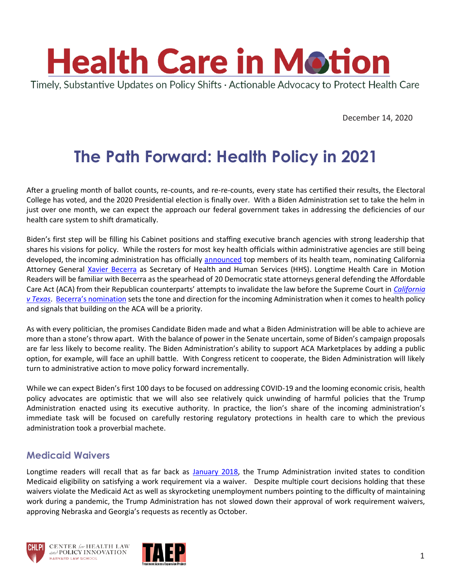

December 14, 2020

# **The Path Forward: Health Policy in 2021**

After a grueling month of ballot counts, re-counts, and re-re-counts, every state has certified their results, the Electoral College has voted, and the 2020 Presidential election is finally over. With a Biden Administration set to take the helm in just over one month, we can expect the approach our federal government takes in addressing the deficiencies of our health care system to shift dramatically.

Biden's first step will be filling his Cabinet positions and staffing executive branch agencies with strong leadership that shares his visions for policy. While the rosters for most key health officials within administrative agencies are still being developed, the incoming administration has officially [announced](https://buildbackbetter.gov/nominees-and-appointees/health/) top members of its health team, nominating California Attorney General [Xavier Becerra](https://buildbackbetter.gov/nominees-and-appointees/xavier-becerra/) as Secretary of Health and Human Services (HHS). Longtime Health Care in Motion Readers will be familiar with Becerra as the spearhead of 20 Democratic state attorneys general defending the Affordable Care Act (ACA) from their Republican counterparts' attempts to invalidate the law before the Supreme Court in *[California](https://www.chlpi.org/wp-content/uploads/2013/12/HCIM_11_3_20.pdf)  [v Texas](https://www.chlpi.org/wp-content/uploads/2013/12/HCIM_11_3_20.pdf)*. [Becerra's nomination](https://www.npr.org/2020/12/07/943968715/biden-nominates-xavier-becerra-to-be-hhs-secretary) sets the tone and direction for the incoming Administration when it comes to health policy and signals that building on the ACA will be a priority.

As with every politician, the promises Candidate Biden made and what a Biden Administration will be able to achieve are more than a stone's throw apart. With the balance of power in the Senate uncertain, some of Biden's campaign proposals are far less likely to become reality. The Biden Administration's ability to support ACA Marketplaces by adding a public option, for example, will face an uphill battle. With Congress reticent to cooperate, the Biden Administration will likely turn to administrative action to move policy forward incrementally.

While we can expect Biden's first 100 days to be focused on addressing COVID-19 and the looming economic crisis, health policy advocates are optimistic that we will also see relatively quick unwinding of harmful policies that the Trump Administration enacted using its executive authority. In practice, the lion's share of the incoming administration's immediate task will be focused on carefully restoring regulatory protections in health care to which the previous administration took a proverbial machete.

#### **Medicaid Waivers**

Longtime readers will recall that as far back as [January 2018,](https://www.chlpi.org/wp-content/uploads/2013/12/HCIM_01_12_2018_updated-1_17_2018.pdf) the Trump Administration invited states to condition Medicaid eligibility on satisfying a work requirement via a waiver. Despite multiple court decisions holding that these waivers violate the Medicaid Act as well as skyrocketing unemployment numbers pointing to the difficulty of maintaining work during a pandemic, the Trump Administration has not slowed down their approval of work requirement waivers, approving Nebraska and Georgia's requests as recently as October.





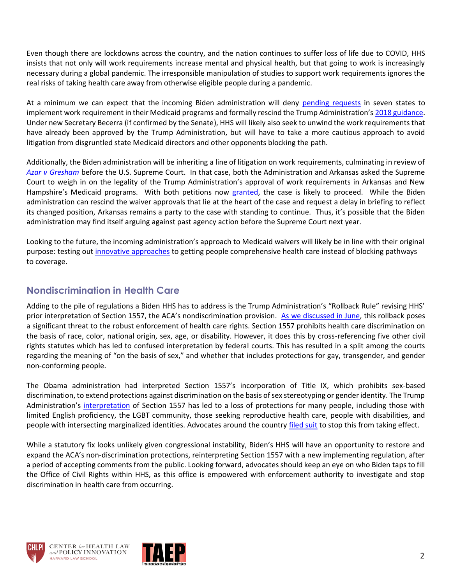Even though there are lockdowns across the country, and the nation continues to suffer loss of life due to COVID, HHS insists that not only will work requirements increase mental and physical health, but that going to work is increasingly necessary during a global pandemic. The irresponsible manipulation of studies to support work requirements ignores the real risks of taking health care away from otherwise eligible people during a pandemic.

At a minimum we can expect that the incoming Biden administration will deny [pending requests](https://www.kff.org/medicaid/issue-brief/medicaid-waiver-tracker-approved-and-pending-section-1115-waivers-by-state/) in seven states to implement work requirement in their Medicaid programs and formally rescind the Trump Administration's [2018 guidance.](https://www.medicaid.gov/federal-policy-guidance/downloads/smd18002.pdf) Under new Secretary Becerra (if confirmed by the Senate), HHS will likely also seek to unwind the work requirements that have already been approved by the Trump Administration, but will have to take a more cautious approach to avoid litigation from disgruntled state Medicaid directors and other opponents blocking the path.

Additionally, the Biden administration will be inheriting a line of litigation on work requirements, culminating in review of *Azar [v Gresham](https://www.scotusblog.com/2020/12/justices-agree-to-review-legality-of-medicaid-work-requirements/)* before the U.S. Supreme Court. In that case, both the Administration and Arkansas asked the Supreme Court to weigh in on the legality of the Trump Administration's approval of work requirements in Arkansas and New Hampshire's Medicaid programs. With both petitions now [granted,](https://www.supremecourt.gov/orders/courtorders/120420zr_7mi8.pdf) the case is likely to proceed. While the Biden administration can rescind the waiver approvals that lie at the heart of the case and request a delay in briefing to reflect its changed position, Arkansas remains a party to the case with standing to continue. Thus, it's possible that the Biden administration may find itself arguing against past agency action before the Supreme Court next year.

Looking to the future, the incoming administration's approach to Medicaid waivers will likely be in line with their original purpose: testing out [innovative approaches](https://www.healthaffairs.org/do/10.1377/hblog20201203.473953/full/) to getting people comprehensive health care instead of blocking pathways to coverage.

## **Nondiscrimination in Health Care**

Adding to the pile of regulations a Biden HHS has to address is the Trump Administration's "Rollback Rule" revising HHS' prior interpretation of Section 1557, the ACA's nondiscrimination provision. [As we discussed in June,](https://www.chlpi.org/wp-content/uploads/2013/12/HCIM_6_17_20_2020.pdf?eType=EmailBlastContent&eId=5895504a-3e86-4663-a160-c73c4cdb50ec) this rollback poses a significant threat to the robust enforcement of health care rights. Section 1557 prohibits health care discrimination on the basis of race, color, national origin, sex, age, or disability. However, it does this by cross-referencing five other civil rights statutes which has led to confused interpretation by federal courts. This has resulted in a split among the courts regarding the meaning of "on the basis of sex," and whether that includes protections for gay, transgender, and gender non-conforming people.

The Obama administration had interpreted Section 1557's incorporation of Title IX, which prohibits sex-based discrimination, to extend protections against discrimination on the basis of sex stereotyping or gender identity. The Trump Administration's [interpretation](https://www.chlpi.org/wp-content/uploads/2013/12/HCIM_6_17_20_2020.pdf?eType=EmailBlastContent&eId=5895504a-3e86-4663-a160-c73c4cdb50ec) of Section 1557 has led to a loss of protections for many people, including those with limited English proficiency, the LGBT community, those seeking reproductive health care, people with disabilities, and people with intersecting marginalized identities. Advocates around the country [filed suit](https://www.chlpi.org/wp-content/uploads/2013/12/HCIM_11_3_20.pdf) to stop this from taking effect.

While a statutory fix looks unlikely given congressional instability, Biden's HHS will have an opportunity to restore and expand the ACA's non-discrimination protections, reinterpreting Section 1557 with a new implementing regulation, after a period of accepting comments from the public. Looking forward, advocates should keep an eye on who Biden taps to fill the Office of Civil Rights within HHS, as this office is empowered with enforcement authority to investigate and stop discrimination in health care from occurring.





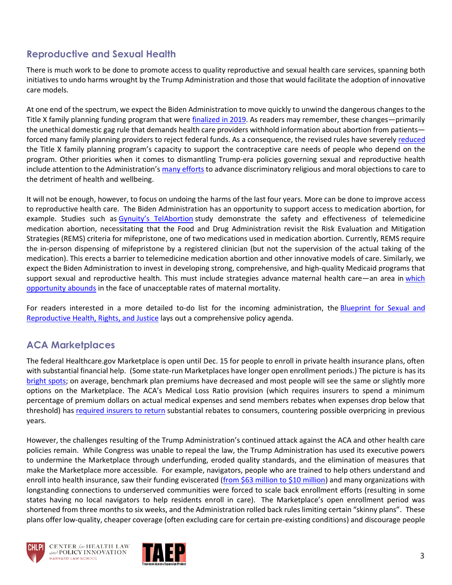## **Reproductive and Sexual Health**

There is much work to be done to promote access to quality reproductive and sexual health care services, spanning both initiatives to undo harms wrought by the Trump Administration and those that would facilitate the adoption of innovative care models.

At one end of the spectrum, we expect the Biden Administration to move quickly to unwind the dangerous changes to the Title X family planning funding program that were [finalized](https://www.chlpi.org/wp-content/uploads/2013/12/HCIM_3_06_2019.pdf) in 2019. As readers may remember, these changes—primarily the unethical domestic gag rule that demands health care providers withhold information about abortion from patients forced many family planning providers to reject federal funds. As a consequence, the revised rules have severely [reduced](https://www.plannedparenthood.org/about-us/newsroom/press-releases/one-year-after-being-forced-out-of-title-x-planned-parenthood-continues-to-fight-for-patients) the Title X family planning program's capacity to support the contraceptive care needs of people who depend on the program. Other priorities when it comes to dismantling Trump-era policies governing sexual and reproductive health include attention to the Administration's many [efforts](https://www.chlpi.org/wp-content/uploads/2013/12/HCIM_2_19_2019-1.pdf) to advance discriminatory religious and moral objections to care to the detriment of health and wellbeing.

It will not be enough, however, to focus on undoing the harms of the last four years. More can be done to improve access to reproductive health care. The Biden Administration has an opportunity to support access to medication abortion, for example. Studies such as Gynuity's [TelAbortion](https://telabortion.org/) study demonstrate the safety and effectiveness of telemedicine medication abortion, necessitating that the Food and Drug Administration revisit the Risk Evaluation and Mitigation Strategies (REMS) criteria for mifepristone, one of two medications used in medication abortion. Currently, REMS require the in-person dispensing of mifepristone by a registered clinician (but not the supervision of the actual taking of the medication). This erects a barrier to telemedicine medication abortion and other innovative models of care. Similarly, we expect the Biden Administration to invest in developing strong, comprehensive, and high-quality Medicaid programs that support sexual and reproductive health. This must include strategies advance maternal health care—an area in [which](https://www.healthaffairs.org/do/10.1377/hblog20200226.167484/full/) [opportunity](https://www.healthaffairs.org/do/10.1377/hblog20200226.167484/full/) abounds in the face of unacceptable rates of maternal mortality.

For readers interested in a more detailed to-do list for the incoming administration, the [Blueprint](https://reproblueprint.org/) for Sexual and [Reproductive](https://reproblueprint.org/) Health, Rights, and Justice lays out a comprehensive policy agenda.

### **ACA Marketplaces**

The federal Healthcare.gov Marketplace is open until Dec. 15 for people to enroll in private health insurance plans, often with substantial financial help. (Some state-run Marketplaces have longer open enrollment periods.) The picture is has its [bright spots;](https://www.cms.gov/CCIIO/Resources/Data-Resources/Downloads/2021QHPPremiumsChoiceReport.pdf) on average, benchmark plan premiums have decreased and most people will see the same or slightly more options on the Marketplace. The ACA's Medical Loss Ratio provision (which requires insurers to spend a minimum percentage of premium dollars on actual medical expenses and send members rebates when expenses drop below that threshold) has [required insurers to return](https://www.kff.org/private-insurance/issue-brief/data-note-2020-medical-loss-ratio-rebates/) substantial rebates to consumers, countering possible overpricing in previous years.

However, the challenges resulting of the Trump Administration's continued attack against the ACA and other health care policies remain. While Congress was unable to repeal the law, the Trump Administration has used its executive powers to undermine the Marketplace through underfunding, eroded quality standards, and the elimination of measures that make the Marketplace more accessible. For example, navigators, people who are trained to help others understand and enroll into health insurance, saw their funding eviscerated [\(from \\$63 million to \\$10 million\)](https://www.healthaffairs.org/do/10.1377/hblog20190529.659554/full/) and many organizations with longstanding connections to underserved communities were forced to scale back enrollment efforts (resulting in some states having no local navigators to help residents enroll in care). The Marketplace's open enrollment period was shortened from three months to six weeks, and the Administration rolled back rules limiting certain "skinny plans". These plans offer low-quality, cheaper coverage (often excluding care for certain pre-existing conditions) and discourage people